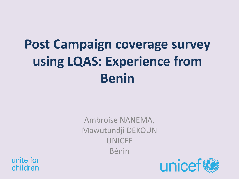# **Post Campaign coverage survey using LQAS: Experience from Benin**

Ambroise NANEMA, Mawutundji DEKOUN UNICEF Bénin

unite for children

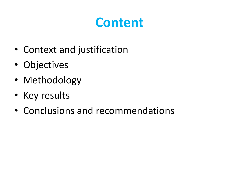## **Content**

- Context and justification
- Objectives
- Methodology
- Key results
- Conclusions and recommendations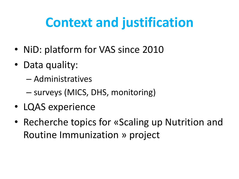## **Context and justification**

- NiD: platform for VAS since 2010
- Data quality:
	- Administratives
	- surveys (MICS, DHS, monitoring)
- LQAS experience
- Recherche topics for «Scaling up Nutrition and Routine Immunization » project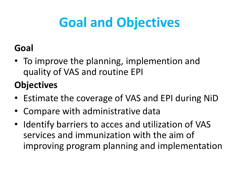# **Goal and Objectives**

### **Goal**

• To improve the planning, implemention and quality of VAS and routine EPI

### **Objectives**

- Estimate the coverage of VAS and EPI during NiD
- Compare with administrative data
- Identify barriers to acces and utilization of VAS services and immunization with the aim of improving program planning and implementation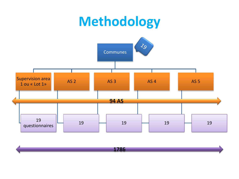### **Methodology**



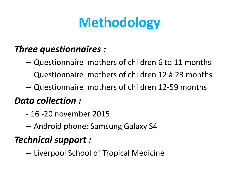# **Methodology**

#### *Three questionnaires :*

- Questionnaire mothers of children 6 to 11 months
- Questionnaire mothers of children 12 à 23 months
- Questionnaire mothers of children 12-59 months

#### *Data collection :*

- 16 -20 november 2015
- Android phone: Samsung Galaxy S4

### *Technical support :*

– Liverpool School of Tropical Medicine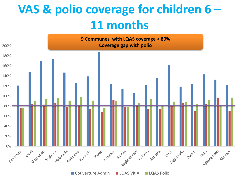### **VAS & polio coverage for children 6 – 11 months**

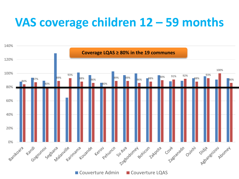### **VAS coverage children 12 – 59 months**

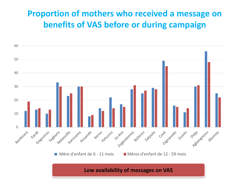#### **Proportion of mothers who received a message on benefits of VAS before or during campaign**

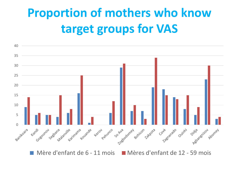## **Proportion of mothers who know target groups for VAS**



Mère d'enfant de  $6 - 11$  mois  $\blacksquare$  Mères d'enfant de 12 - 59 mois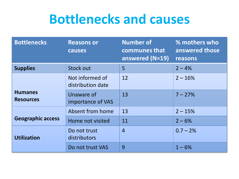### **Bottlenecks and causes**

| <b>Bottlenecks</b>                 | <b>Reasons or</b><br>causes          | <b>Number of</b><br>communes that<br>answered (N=19) | % mothers who<br>answered those<br>reasons |
|------------------------------------|--------------------------------------|------------------------------------------------------|--------------------------------------------|
| <b>Supplies</b>                    | <b>Stock out</b>                     | 5                                                    | $2 - 4%$                                   |
|                                    | Not informed of<br>distribution date | 12                                                   | $2 - 16%$                                  |
| <b>Humanes</b><br><b>Resources</b> | Unaware of<br>importance of VAS      | 13                                                   | $7 - 27%$                                  |
|                                    | Absent from home                     | 13                                                   | $2 - 15%$                                  |
| <b>Geographic access</b>           | Home not visited                     | 11                                                   | $2 - 6%$                                   |
| <b>Utilization</b>                 | Do not trust<br>distributors         | $\overline{4}$                                       | $0.7 - 2%$                                 |
|                                    | Do not trust VAS                     | 9                                                    | $1 - 6%$                                   |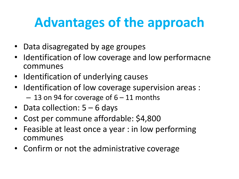# **Advantages of the approach**

- Data disagregated by age groupes
- Identification of low coverage and low performacne communes
- Identification of underlying causes
- Identification of low coverage supervision areas :  $-13$  on 94 for coverage of  $6 - 11$  months
- Data collection:  $5 6$  days
- Cost per commune affordable: \$4,800
- Feasible at least once a year : in low performing communes
- Confirm or not the administrative coverage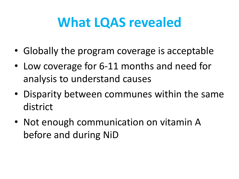## **What LQAS revealed**

- Globally the program coverage is acceptable
- Low coverage for 6-11 months and need for analysis to understand causes
- Disparity between communes within the same district
- Not enough communication on vitamin A before and during NiD